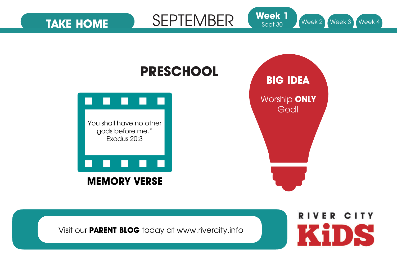

Visit our **PARENT BLOG** today at www.rivercity.info